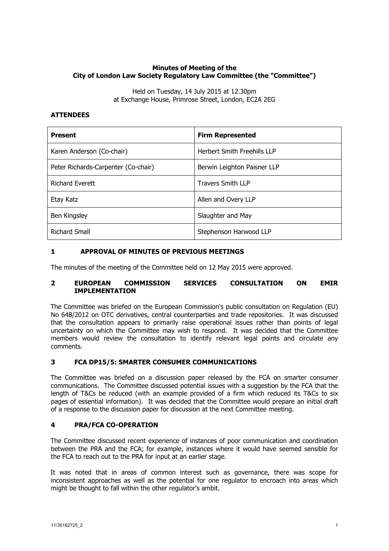## **Minutes of Meeting of the City of London Law Society Regulatory Law Committee (the "Committee")**

Held on Tuesday, 14 July 2015 at 12.30pm at Exchange House, Primrose Street, London, EC2A 2EG

### **ATTENDEES**

| <b>Present</b>                      | <b>Firm Represented</b>            |
|-------------------------------------|------------------------------------|
| Karen Anderson (Co-chair)           | <b>Herbert Smith Freehills LLP</b> |
| Peter Richards-Carpenter (Co-chair) | Berwin Leighton Paisner LLP        |
| <b>Richard Everett</b>              | <b>Travers Smith LLP</b>           |
| Etay Katz                           | Allen and Overy LLP                |
| Ben Kingsley                        | Slaughter and May                  |
| <b>Richard Small</b>                | Stephenson Harwood LLP             |

## **1 APPROVAL OF MINUTES OF PREVIOUS MEETINGS**

The minutes of the meeting of the Committee held on 12 May 2015 were approved.

#### **2 EUROPEAN COMMISSION SERVICES CONSULTATION ON EMIR IMPLEMENTATION**

The Committee was briefed on the European Commission's public consultation on Regulation (EU) No 648/2012 on OTC derivatives, central counterparties and trade repositories. It was discussed that the consultation appears to primarily raise operational issues rather than points of legal uncertainty on which the Committee may wish to respond. It was decided that the Committee members would review the consultation to identify relevant legal points and circulate any comments.

#### **3 FCA DP15/5: SMARTER CONSUMER COMMUNICATIONS**

The Committee was briefed on a discussion paper released by the FCA on smarter consumer communications. The Committee discussed potential issues with a suggestion by the FCA that the length of T&Cs be reduced (with an example provided of a firm which reduced its T&Cs to six pages of essential information). It was decided that the Committee would prepare an initial draft of a response to the discussion paper for discussion at the next Committee meeting.

# **4 PRA/FCA CO-OPERATION**

The Committee discussed recent experience of instances of poor communication and coordination between the PRA and the FCA; for example, instances where it would have seemed sensible for the FCA to reach out to the PRA for input at an earlier stage.

It was noted that in areas of common interest such as governance, there was scope for inconsistent approaches as well as the potential for one regulator to encroach into areas which might be thought to fall within the other regulator's ambit.